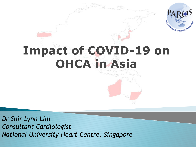

### **Impact of COVID-19 on OHCA in Asia**

*Dr Shir Lynn Lim Consultant Cardiologist National University Heart Centre, Singapore*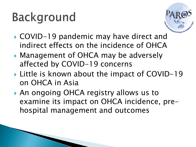# **Background**



- ▶ COVID-19 pandemic may have direct and indirect effects on the incidence of OHCA
- ▶ Management of OHCA may be adversely affected by COVID-19 concerns
- ▶ Little is known about the impact of COVID-19 on OHCA in Asia
- An ongoing OHCA registry allows us to examine its impact on OHCA incidence, prehospital management and outcomes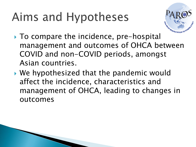# Aims and Hypotheses



- ▶ To compare the incidence, pre-hospital management and outcomes of OHCA between COVID and non-COVID periods, amongst Asian countries.
- We hypothesized that the pandemic would affect the incidence, characteristics and management of OHCA, leading to changes in outcomes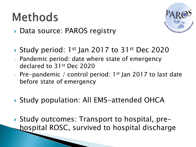#### **Methods**



- ▶ Data source: PAROS registry
- ▶ Study period: 1<sup>st</sup> Jan 2017 to 31<sup>st</sup> Dec 2020
- Pandemic period: date where state of emergency declared to 31st Dec 2020
- Pre-pandemic / control period:  $1^{st}$  Jan 2017 to last date before state of emergency
- ▶ Study population: All EMS-attended OHCA
- Study outcomes: Transport to hospital, prehospital ROSC, survived to hospital discharge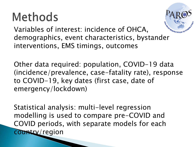### **Methods**



Variables of interest: incidence of OHCA, demographics, event characteristics, bystander interventions, EMS timings, outcomes

Other data required: population, COVID-19 data (incidence/prevalence, case-fatality rate), response to COVID-19, key dates (first case, date of emergency/lockdown)

Statistical analysis: multi-level regression modelling is used to compare pre-COVID and COVID periods, with separate models for each country/region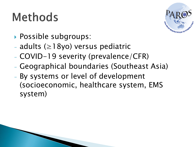# **Methods**



- **Possible subgroups:**
- adults (≥18yo) versus pediatric
- COVID-19 severity (prevalence/CFR)
- Geographical boundaries (Southeast Asia)
- By systems or level of development (socioeconomic, healthcare system, EMS system)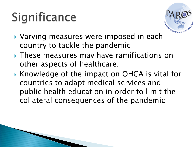# Significance



- ▶ Varying measures were imposed in each country to tackle the pandemic
- ▶ These measures may have ramifications on other aspects of healthcare.
- ▶ Knowledge of the impact on OHCA is vital for countries to adapt medical services and public health education in order to limit the collateral consequences of the pandemic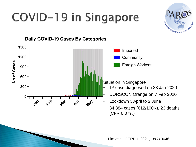# COVID-19 in Singapore





Lim et al. IJERPH. 2021, 18(7) 3646.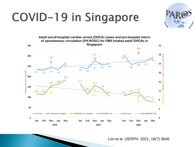# COVID-19 in Singapore



Lim et al. IJERPH. 2021, 18(7) 3646.

**PARTIES** 

**TOPIC RD**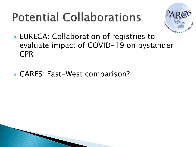## **Potential Collaborations**



- ▶ EURECA: Collaboration of registries to evaluate impact of COVID-19 on bystander CPR
- ▶ CARES: East-West comparison?